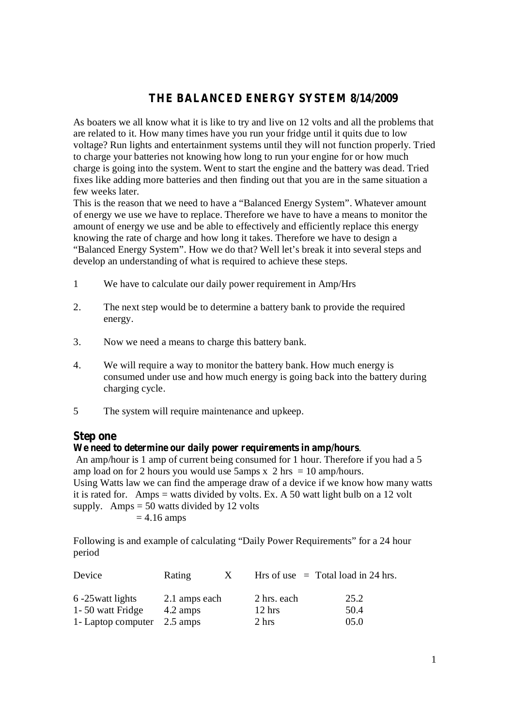## **THE BALANCED ENERGY SYSTEM 8/14/2009**

As boaters we all know what it is like to try and live on 12 volts and all the problems that are related to it. How many times have you run your fridge until it quits due to low voltage? Run lights and entertainment systems until they will not function properly. Tried to charge your batteries not knowing how long to run your engine for or how much charge is going into the system. Went to start the engine and the battery was dead. Tried fixes like adding more batteries and then finding out that you are in the same situation a few weeks later.

This is the reason that we need to have a "Balanced Energy System". Whatever amount of energy we use we have to replace. Therefore we have to have a means to monitor the amount of energy we use and be able to effectively and efficiently replace this energy knowing the rate of charge and how long it takes. Therefore we have to design a "Balanced Energy System". How we do that? Well let's break it into several steps and develop an understanding of what is required to achieve these steps.

- 1 We have to calculate our daily power requirement in Amp/Hrs
- 2. The next step would be to determine a battery bank to provide the required energy.
- 3. Now we need a means to charge this battery bank.
- 4. We will require a way to monitor the battery bank. How much energy is consumed under use and how much energy is going back into the battery during charging cycle.
- 5 The system will require maintenance and upkeep.

#### **Step one**

#### **We need to determine our daily power requirements in amp/hours**.

An amp/hour is 1 amp of current being consumed for 1 hour. Therefore if you had a 5 amp load on for 2 hours you would use 5amps x 2 hrs = 10 amp/hours. Using Watts law we can find the amperage draw of a device if we know how many watts it is rated for. Amps = watts divided by volts. Ex. A 50 watt light bulb on a 12 volt supply. Amps  $= 50$  watts divided by 12 volts  $= 4.16$  amps

Following is and example of calculating "Daily Power Requirements" for a 24 hour period

| Device              | Rating             | $\mathbf{X}$ |                  | Hrs of use $=$ Total load in 24 hrs. |
|---------------------|--------------------|--------------|------------------|--------------------------------------|
| 6 -25 watt lights   | 2.1 amps each      |              | 2 hrs. each      | 25.2                                 |
| 1 - 50 watt Fridge  | 4.2 amps           |              | $12 \text{ hrs}$ | 50.4                                 |
| 1 - Laptop computer | $2.5 \text{ amps}$ |              | 2 hrs            | 05.0                                 |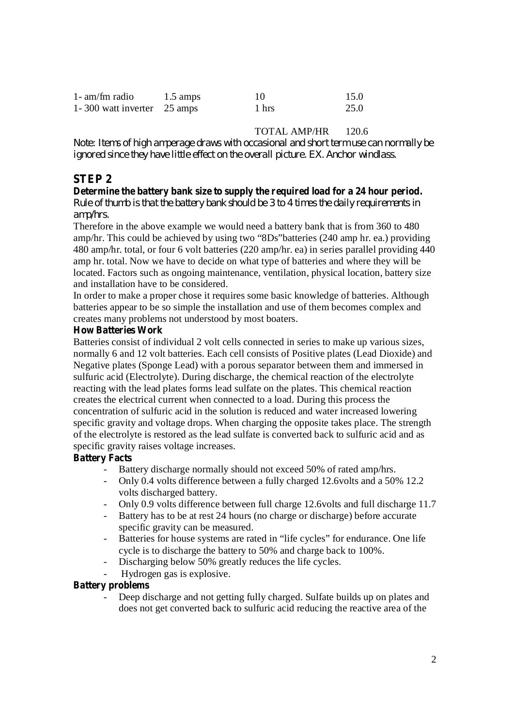| $1-$ am/fm radio            | $1.5 \text{ amps}$ | 10    | 15.0 |
|-----------------------------|--------------------|-------|------|
| 1-300 watt inverter 25 amps |                    | 1 hrs | 25.0 |

### TOTAL AMP/HR 120.6

*Note: Items of high amperage draws with occasional and short term use can normally be ignored since they have little effect on the overall picture. EX. Anchor windlass.*

# **STEP 2**

# **Determine the battery bank size to supply the required load for a 24 hour period.**

*Rule of thumb is that the battery bank should be 3 to 4 times the daily requirements in amp/hrs.*

Therefore in the above example we would need a battery bank that is from 360 to 480 amp/hr. This could be achieved by using two "8Ds"batteries (240 amp hr. ea.) providing 480 amp/hr. total, or four 6 volt batteries (220 amp/hr. ea) in series parallel providing 440 amp hr. total. Now we have to decide on what type of batteries and where they will be located. Factors such as ongoing maintenance, ventilation, physical location, battery size and installation have to be considered.

In order to make a proper chose it requires some basic knowledge of batteries. Although batteries appear to be so simple the installation and use of them becomes complex and creates many problems not understood by most boaters.

#### **How Batteries Work**

Batteries consist of individual 2 volt cells connected in series to make up various sizes, normally 6 and 12 volt batteries. Each cell consists of Positive plates (Lead Dioxide) and Negative plates (Sponge Lead) with a porous separator between them and immersed in sulfuric acid (Electrolyte). During discharge, the chemical reaction of the electrolyte reacting with the lead plates forms lead sulfate on the plates. This chemical reaction creates the electrical current when connected to a load. During this process the concentration of sulfuric acid in the solution is reduced and water increased lowering specific gravity and voltage drops. When charging the opposite takes place. The strength of the electrolyte is restored as the lead sulfate is converted back to sulfuric acid and as specific gravity raises voltage increases.

### **Battery Facts**

- Battery discharge normally should not exceed 50% of rated amp/hrs.
- Only 0.4 volts difference between a fully charged 12.6 volts and a 50% 12.2 volts discharged battery.
- Only 0.9 volts difference between full charge 12.6volts and full discharge 11.7
- Battery has to be at rest 24 hours (no charge or discharge) before accurate specific gravity can be measured.
- Batteries for house systems are rated in "life cycles" for endurance. One life cycle is to discharge the battery to 50% and charge back to 100%.
- Discharging below 50% greatly reduces the life cycles.
- Hydrogen gas is explosive.

### **Battery problems**

Deep discharge and not getting fully charged. Sulfate builds up on plates and does not get converted back to sulfuric acid reducing the reactive area of the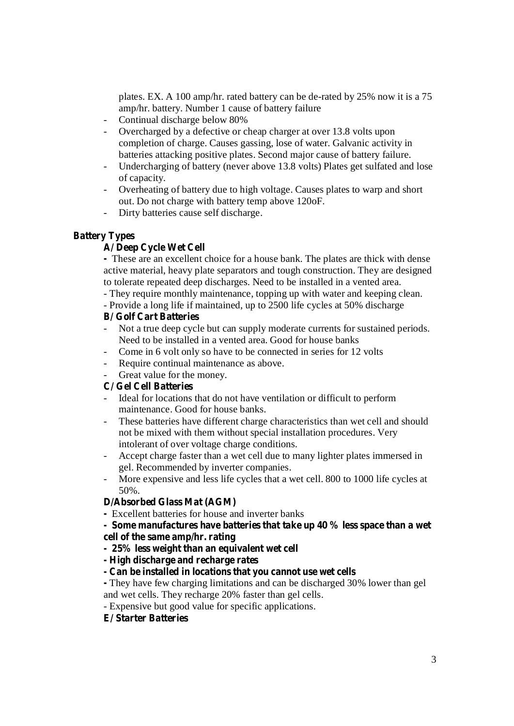plates. EX. A 100 amp/hr. rated battery can be de-rated by 25% now it is a 75 amp/hr. battery. Number 1 cause of battery failure

- Continual discharge below 80%
- Overcharged by a defective or cheap charger at over 13.8 volts upon completion of charge. Causes gassing, lose of water. Galvanic activity in batteries attacking positive plates. Second major cause of battery failure.
- Undercharging of battery (never above 13.8 volts) Plates get sulfated and lose of capacity.
- Overheating of battery due to high voltage. Causes plates to warp and short out. Do not charge with battery temp above 120oF.
- Dirty batteries cause self discharge.

#### **Battery Types**

### **A/ Deep Cycle Wet Cell**

**-** These are an excellent choice for a house bank. The plates are thick with dense active material, heavy plate separators and tough construction. They are designed to tolerate repeated deep discharges. Need to be installed in a vented area.

- They require monthly maintenance, topping up with water and keeping clean.

- Provide a long life if maintained, up to 2500 life cycles at 50% discharge

#### **B/ Golf Cart Batteries**

- Not a true deep cycle but can supply moderate currents for sustained periods. Need to be installed in a vented area. Good for house banks
- Come in 6 volt only so have to be connected in series for 12 volts
- Require continual maintenance as above.
- Great value for the money.

### **C/ Gel Cell Batteries**

- Ideal for locations that do not have ventilation or difficult to perform maintenance. Good for house banks.
- These batteries have different charge characteristics than wet cell and should not be mixed with them without special installation procedures. Very intolerant of over voltage charge conditions.
- Accept charge faster than a wet cell due to many lighter plates immersed in gel. Recommended by inverter companies.
- More expensive and less life cycles that a wet cell. 800 to 1000 life cycles at 50%.

### **D/Absorbed Glass Mat (AGM)**

- **-** Excellent batteries for house and inverter banks
- **- Some manufactures have batteries that take up 40 % less space than a wet cell of the same amp/hr. rating**
- **- 25% less weight than an equivalent wet cell**
- **- High discharge and recharge rates**
- **- Can be installed in locations that you cannot use wet cells**
- **-** They have few charging limitations and can be discharged 30% lower than gel and wet cells. They recharge 20% faster than gel cells.
- Expensive but good value for specific applications.
- **E/ Starter Batteries**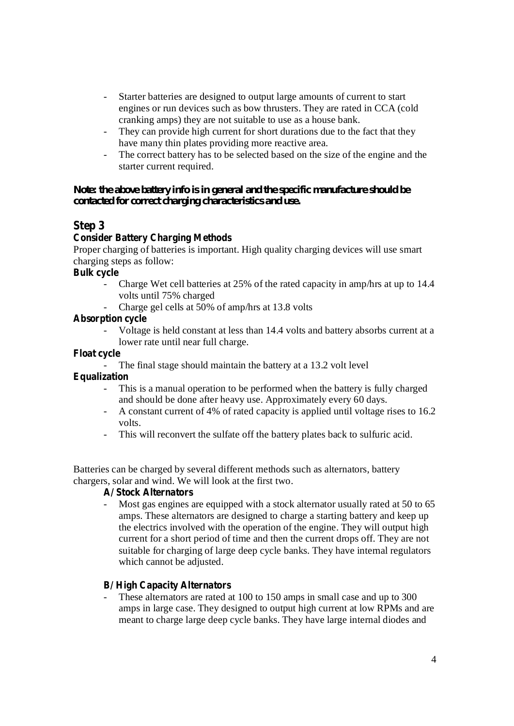- Starter batteries are designed to output large amounts of current to start engines or run devices such as bow thrusters. They are rated in CCA (cold cranking amps) they are not suitable to use as a house bank.
- They can provide high current for short durations due to the fact that they have many thin plates providing more reactive area.
- The correct battery has to be selected based on the size of the engine and the starter current required.

### *Note: the above battery info is in general and the specific manufacture should be contacted for correct charging characteristics and use.*

# **Step 3**

### **Consider Battery Charging Methods**

Proper charging of batteries is important. High quality charging devices will use smart charging steps as follow:

### **Bulk cycle**

- Charge Wet cell batteries at 25% of the rated capacity in amp/hrs at up to 14.4 volts until 75% charged
- Charge gel cells at 50% of amp/hrs at 13.8 volts

### **Absorption cycle**

- Voltage is held constant at less than 14.4 volts and battery absorbs current at a lower rate until near full charge.

### **Float cycle**

- The final stage should maintain the battery at a 13.2 volt level

### **Equalization**

- This is a manual operation to be performed when the battery is fully charged and should be done after heavy use. Approximately every 60 days.
- A constant current of 4% of rated capacity is applied until voltage rises to 16.2 volts.
- This will reconvert the sulfate off the battery plates back to sulfuric acid.

Batteries can be charged by several different methods such as alternators, battery chargers, solar and wind. We will look at the first two.

### **A/ Stock Alternators**

- Most gas engines are equipped with a stock alternator usually rated at 50 to 65 amps. These alternators are designed to charge a starting battery and keep up the electrics involved with the operation of the engine. They will output high current for a short period of time and then the current drops off. They are not suitable for charging of large deep cycle banks. They have internal regulators which cannot be adjusted.

### **B/ High Capacity Alternators**

These alternators are rated at 100 to 150 amps in small case and up to 300 amps in large case. They designed to output high current at low RPMs and are meant to charge large deep cycle banks. They have large internal diodes and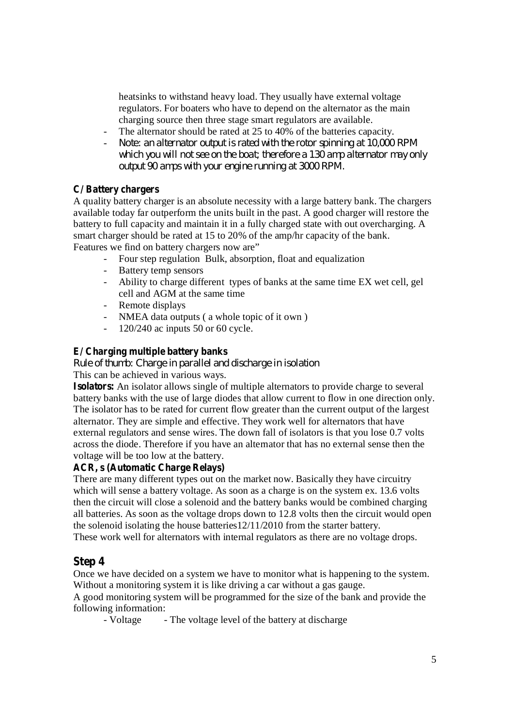heatsinks to withstand heavy load. They usually have external voltage regulators. For boaters who have to depend on the alternator as the main charging source then three stage smart regulators are available.

- The alternator should be rated at 25 to 40% of the batteries capacity.
- *Note: an alternator output is rated with the rotor spinning at 10,000 RPM which you will not see on the boat; therefore a 130 amp alternator may only output 90 amps with your engine running at 3000 RPM.*

### **C/ Battery chargers**

A quality battery charger is an absolute necessity with a large battery bank. The chargers available today far outperform the units built in the past. A good charger will restore the battery to full capacity and maintain it in a fully charged state with out overcharging. A smart charger should be rated at 15 to 20% of the amp/hr capacity of the bank.

Features we find on battery chargers now are"

- Four step regulation Bulk, absorption, float and equalization
- Battery temp sensors
- Ability to charge different types of banks at the same time EX wet cell, gel cell and AGM at the same time
- Remote displays
- NMEA data outputs (a whole topic of it own)
- 120/240 ac inputs 50 or 60 cycle.

### **E/ Charging multiple battery banks**

*Rule of thumb: Charge in parallel and discharge in isolation* This can be achieved in various ways.

**Isolators:** An isolator allows single of multiple alternators to provide charge to several battery banks with the use of large diodes that allow current to flow in one direction only. The isolator has to be rated for current flow greater than the current output of the largest alternator. They are simple and effective. They work well for alternators that have external regulators and sense wires. The down fall of isolators is that you lose 0.7 volts across the diode. Therefore if you have an alternator that has no external sense then the voltage will be too low at the battery.

### **ACR, s (Automatic Charge Relays)**

There are many different types out on the market now. Basically they have circuitry which will sense a battery voltage. As soon as a charge is on the system ex. 13.6 volts then the circuit will close a solenoid and the battery banks would be combined charging all batteries. As soon as the voltage drops down to 12.8 volts then the circuit would open the solenoid isolating the house batteries12/11/2010 from the starter battery. These work well for alternators with internal regulators as there are no voltage drops.

### **Step 4**

Once we have decided on a system we have to monitor what is happening to the system. Without a monitoring system it is like driving a car without a gas gauge.

A good monitoring system will be programmed for the size of the bank and provide the following information:

- Voltage - The voltage level of the battery at discharge